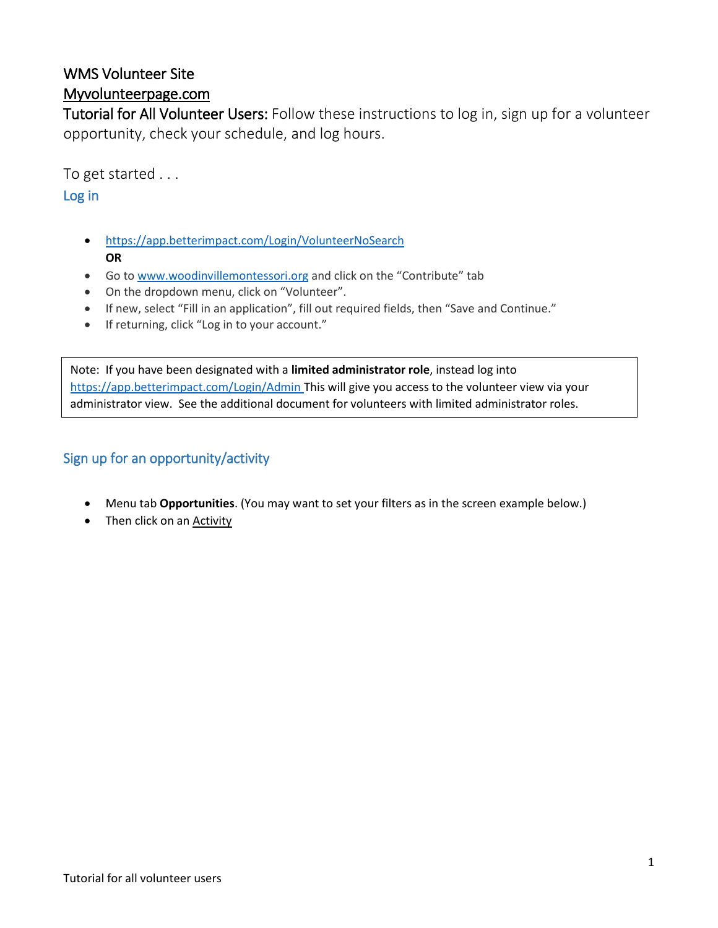# WMS Volunteer Site

# Myvolunteerpage.com

Tutorial for All Volunteer Users: Follow these instructions to log in, sign up for a volunteer opportunity, check your schedule, and log hours.

To get started . . .

## Log in

- <https://app.betterimpact.com/Login/VolunteerNoSearch> **OR**
- Go to [www.woodinvillemontessori.org](http://www.woodinvillemontessori.org/) and click on the "Contribute" tab
- On the dropdown menu, click on "Volunteer".
- If new, select "Fill in an application", fill out required fields, then "Save and Continue."
- If returning, click "Log in to your account."

Note: If you have been designated with a **limited administrator role**, instead log into <https://app.betterimpact.com/Login/Admin> This will give you access to the volunteer view via your administrator view. See the additional document for volunteers with limited administrator roles.

# Sign up for an opportunity/activity

- Menu tab **Opportunities**. (You may want to set your filters as in the screen example below.)
- Then click on an **Activity**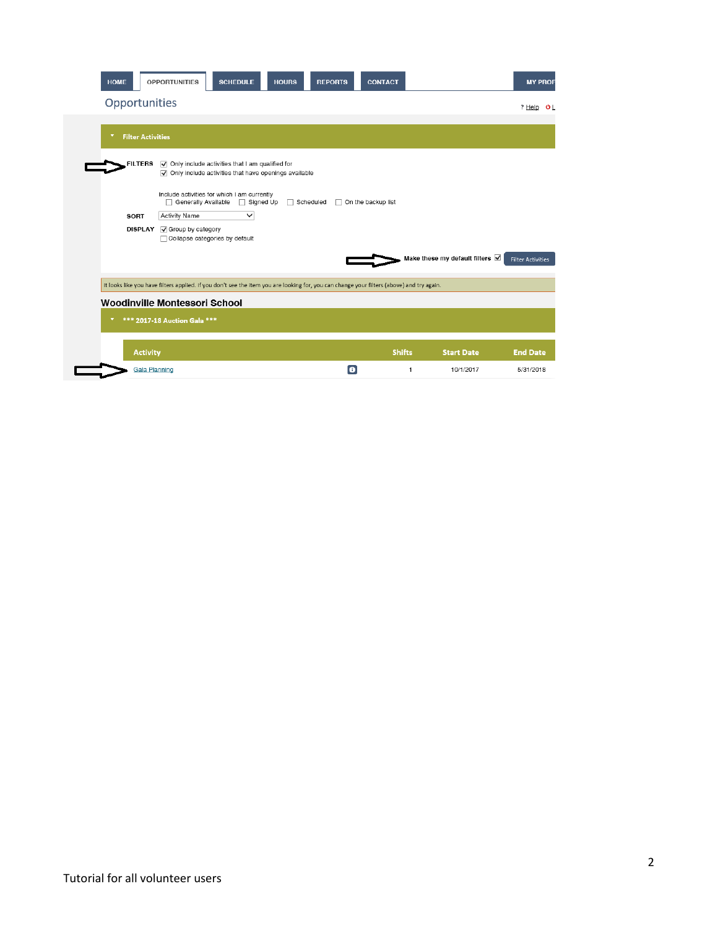| <b>HOME</b>                   | <b>OPPORTUNITIES</b><br><b>SCHEDULE</b>                                                                                                                                        | <b>HOURS</b><br><b>REPORTS</b> | <b>CONTACT</b>     |               |                                      | <b>MY PROF</b>           |
|-------------------------------|--------------------------------------------------------------------------------------------------------------------------------------------------------------------------------|--------------------------------|--------------------|---------------|--------------------------------------|--------------------------|
| Opportunities                 |                                                                                                                                                                                |                                |                    |               |                                      | ? Help<br>OΕ             |
| <b>Filter Activities</b>      |                                                                                                                                                                                |                                |                    |               |                                      |                          |
| <b>FILTERS</b>                | $\triangledown$ Only include activities that I am qualified for<br>$\sqrt{\phantom{a}}$ Only include activities that have openings available                                   |                                |                    |               |                                      |                          |
| <b>SORT</b><br><b>DISPLAY</b> | Include activities for which I am currently<br>Generally Available<br>Signed Up<br><b>Activity Name</b><br>$\checkmark$<br>Group by category<br>Collapse categories by default | Scheduled                      | On the backup list |               |                                      |                          |
|                               |                                                                                                                                                                                |                                |                    |               | Make these my default filters $\vee$ | <b>Filter Activities</b> |
|                               | It looks like you have filters applied. If you don't see the item you are looking for, you can change your filters (above) and try again.                                      |                                |                    |               |                                      |                          |
|                               | Woodinville Montessori School<br>*** 2017-18 Auction Gala ***                                                                                                                  |                                |                    |               |                                      |                          |
| <b>Activity</b>               |                                                                                                                                                                                |                                |                    | <b>Shifts</b> | <b>Start Date</b>                    | <b>End Date</b>          |
| <b>Gala Planning</b>          |                                                                                                                                                                                |                                | o                  | 1             | 10/1/2017                            | 5/31/2018                |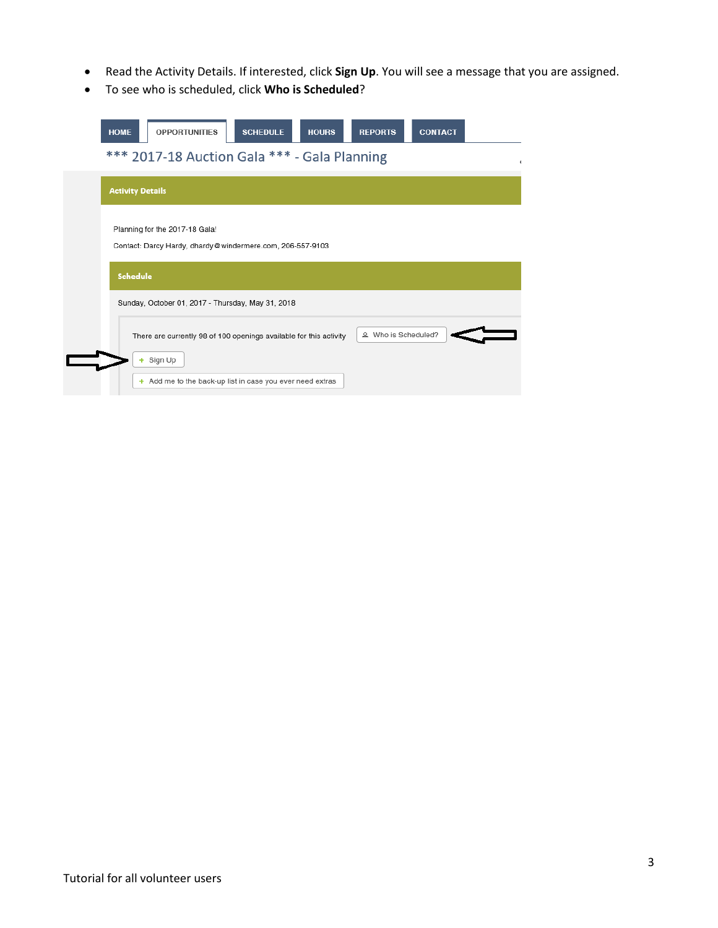- Read the Activity Details. If interested, click **Sign Up**. You will see a message that you are assigned.
- To see who is scheduled, click **Who is Scheduled**?

| <b>HOME</b><br><b>OPPORTUNITIES</b>                                                         | <b>SCHEDULE</b>                                                                                                                 | <b>HOURS</b> | <b>REPORTS</b>      | <b>CONTACT</b> |  |
|---------------------------------------------------------------------------------------------|---------------------------------------------------------------------------------------------------------------------------------|--------------|---------------------|----------------|--|
| *** 2017-18 Auction Gala *** - Gala Planning                                                |                                                                                                                                 |              |                     |                |  |
| <b>Activity Details</b>                                                                     |                                                                                                                                 |              |                     |                |  |
| Planning for the 2017-18 Gala!<br>Contact: Darcy Hardy, dhardy@windermere.com, 206-557-9103 |                                                                                                                                 |              |                     |                |  |
| <b>Schedule</b>                                                                             |                                                                                                                                 |              |                     |                |  |
| Sunday, October 01, 2017 - Thursday, May 31, 2018                                           |                                                                                                                                 |              |                     |                |  |
| + Sign Up                                                                                   | There are currently 98 of 100 openings available for this activity<br>+ Add me to the back-up list in case you ever need extras |              | & Who is Scheduled? |                |  |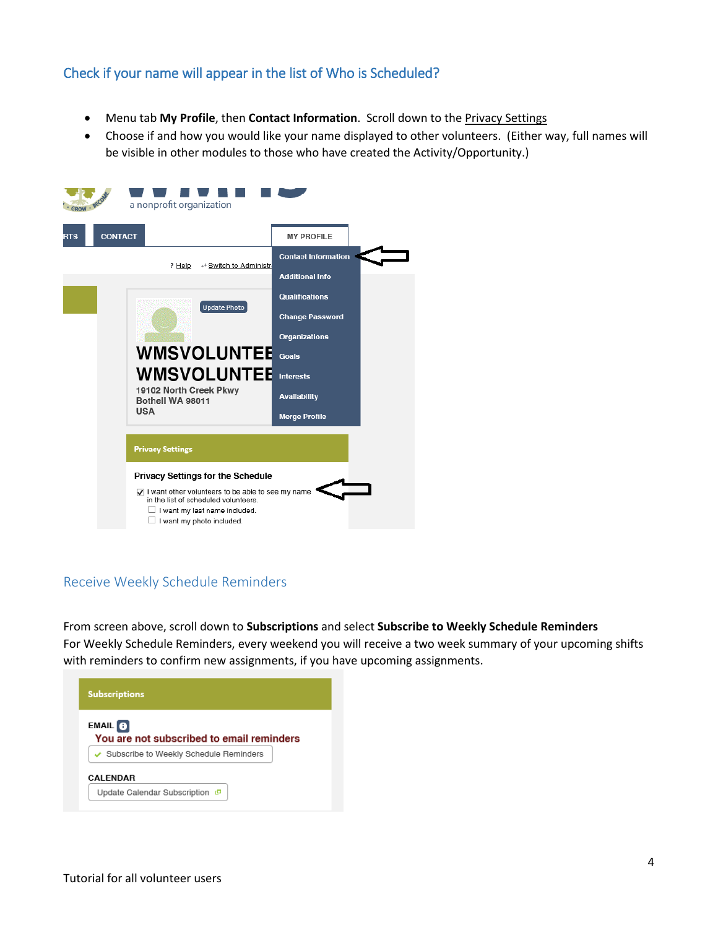#### Check if your name will appear in the list of Who is Scheduled?

- Menu tab **My Profile**, then **Contact Information**. Scroll down to the Privacy Settings
- Choose if and how you would like your name displayed to other volunteers. (Either way, full names will be visible in other modules to those who have created the Activity/Opportunity.)



### Receive Weekly Schedule Reminders

From screen above, scroll down to **Subscriptions** and select **Subscribe to Weekly Schedule Reminders** For Weekly Schedule Reminders, every weekend you will receive a two week summary of your upcoming shifts with reminders to confirm new assignments, if you have upcoming assignments.

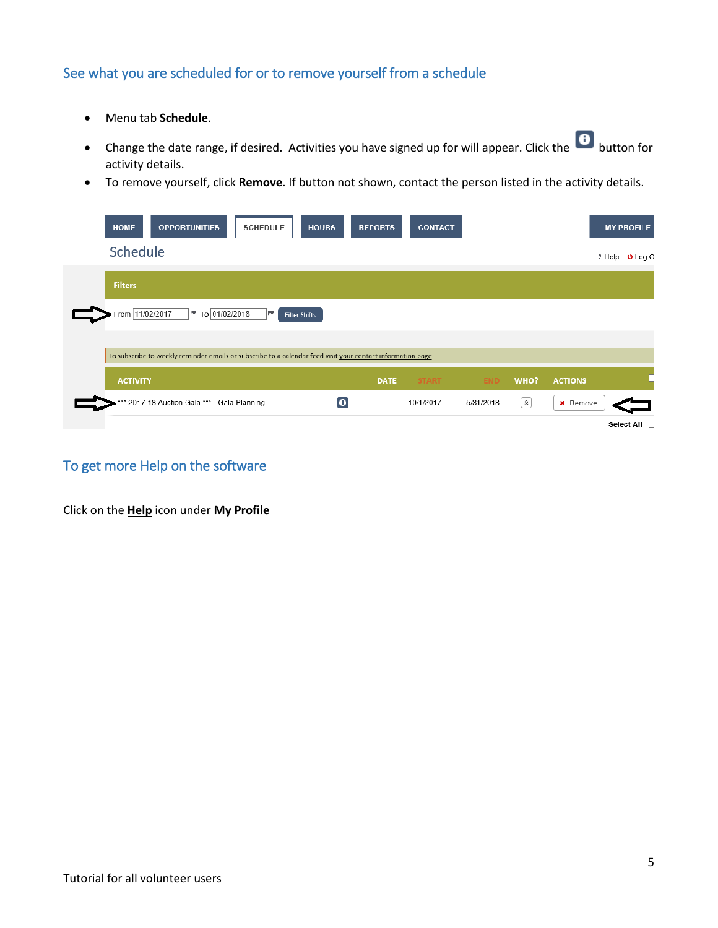## See what you are scheduled for or to remove yourself from a schedule

- Menu tab **Schedule**.
- Change the date range, if desired. Activities you have signed up for will appear. Click the button for activity details.
- To remove yourself, click **Remove**. If button not shown, contact the person listed in the activity details.

| <b>HOME</b><br><b>OPPORTUNITIES</b><br><b>HOURS</b><br><b>SCHEDULE</b>                                      | <b>REPORTS</b> | <b>CONTACT</b> |            |                        |                 | <b>MY PROFILE</b>     |
|-------------------------------------------------------------------------------------------------------------|----------------|----------------|------------|------------------------|-----------------|-----------------------|
| Schedule                                                                                                    |                |                |            |                        |                 | ? Help <b>Ο</b> Log O |
| <b>Filters</b>                                                                                              |                |                |            |                        |                 |                       |
| From 11/02/2017<br>To 01/02/2018<br><b>IN</b><br>∣≋.<br><b>Filter Shifts</b>                                |                |                |            |                        |                 |                       |
| To subscribe to weekly reminder emails or subscribe to a calendar feed visit your contact information page. |                |                |            |                        |                 |                       |
| <b>ACTIVITY</b>                                                                                             | <b>DATE</b>    | <b>START</b>   | <b>END</b> | WHO?                   | <b>ACTIONS</b>  |                       |
| *** 2017-18 Auction Gala *** - Gala Planning<br>O                                                           |                | 10/1/2017      | 5/31/2018  | $\boxed{\mathfrak{D}}$ | <b>x</b> Remove |                       |
|                                                                                                             |                |                |            |                        |                 | Select All            |

## To get more Help on the software

Click on the **Help** icon under **My Profile**